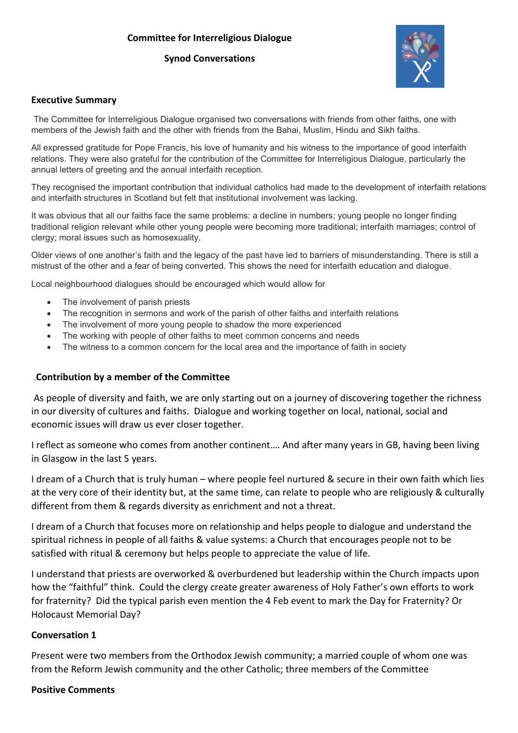#### **Committee for Interreligious Dialogue**

#### **Synod Conversations**



#### **Executive Summary**

The Committee for Interreligious Dialogue organised two conversations with friends from other faiths, one with members of the Jewish faith and the other with friends from the Bahai, Muslim, Hindu and Sikh faiths.

All expressed gratitude for Pope Francis, his love of humanity and his witness to the importance of good interfaith relations. They were also grateful for the contribution of the Committee for Interreligious Dialogue, particularly the annual letters of greeting and the annual interfaith reception.

They recognised the important contribution that individual catholics had made to the development of interfaith relations and interfaith structures in Scotland but felt that institutional involvement was lacking.

It was obvious that all our faiths face the same problems: a decline in numbers; young people no longer finding traditional religion relevant while other young people were becoming more traditional; interfaith marriages; control of clergy; moral issues such as homosexuality.

Older views of one another's faith and the legacy of the past have led to barriers of misunderstanding. There is still a mistrust of the other and a fear of being converted. This shows the need for interfaith education and dialogue.

Local neighbourhood dialogues should be encouraged which would allow for

- The involvement of parish priests
- The recognition in sermons and work of the parish of other faiths and interfaith relations
- The involvement of more young people to shadow the more experienced
- The working with people of other faiths to meet common concerns and needs
- The witness to a common concern for the local area and the importance of faith in society

#### .**Contribution by a member of the Committee**

As people of diversity and faith, we are only starting out on a journey of discovering together the richness in our diversity of cultures and faiths. Dialogue and working together on local, national, social and economic issues will draw us ever closer together.

I reflect as someone who comes from another continent…. And after many years in GB, having been living in Glasgow in the last 5 years.

I dream of a Church that is truly human – where people feel nurtured & secure in their own faith which lies at the very core of their identity but, at the same time, can relate to people who are religiously & culturally different from them & regards diversity as enrichment and not a threat.

I dream of a Church that focuses more on relationship and helps people to dialogue and understand the spiritual richness in people of all faiths & value systems: a Church that encourages people not to be satisfied with ritual & ceremony but helps people to appreciate the value of life.

I understand that priests are overworked & overburdened but leadership within the Church impacts upon how the "faithful" think. Could the clergy create greater awareness of Holy Father's own efforts to work for fraternity? Did the typical parish even mention the 4 Feb event to mark the Day for Fraternity? Or Holocaust Memorial Day?

#### **Conversation 1**

Present were two members from the Orthodox Jewish community; a married couple of whom one was from the Reform Jewish community and the other Catholic; three members of the Committee

#### **Positive Comments**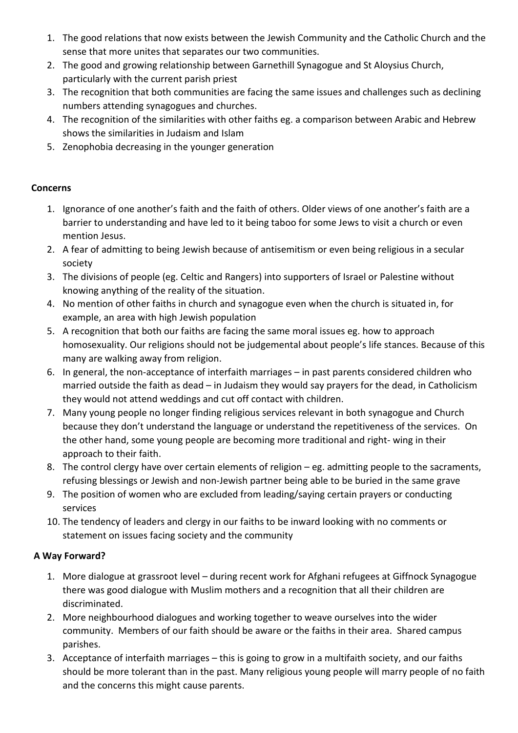- 1. The good relations that now exists between the Jewish Community and the Catholic Church and the sense that more unites that separates our two communities.
- 2. The good and growing relationship between Garnethill Synagogue and St Aloysius Church, particularly with the current parish priest
- 3. The recognition that both communities are facing the same issues and challenges such as declining numbers attending synagogues and churches.
- 4. The recognition of the similarities with other faiths eg. a comparison between Arabic and Hebrew shows the similarities in Judaism and Islam
- 5. Zenophobia decreasing in the younger generation

#### **Concerns**

- 1. Ignorance of one another's faith and the faith of others. Older views of one another's faith are a barrier to understanding and have led to it being taboo for some Jews to visit a church or even mention Jesus.
- 2. A fear of admitting to being Jewish because of antisemitism or even being religious in a secular society
- 3. The divisions of people (eg. Celtic and Rangers) into supporters of Israel or Palestine without knowing anything of the reality of the situation.
- 4. No mention of other faiths in church and synagogue even when the church is situated in, for example, an area with high Jewish population
- 5. A recognition that both our faiths are facing the same moral issues eg. how to approach homosexuality. Our religions should not be judgemental about people's life stances. Because of this many are walking away from religion.
- 6. In general, the non-acceptance of interfaith marriages in past parents considered children who married outside the faith as dead – in Judaism they would say prayers for the dead, in Catholicism they would not attend weddings and cut off contact with children.
- 7. Many young people no longer finding religious services relevant in both synagogue and Church because they don't understand the language or understand the repetitiveness of the services. On the other hand, some young people are becoming more traditional and right- wing in their approach to their faith.
- 8. The control clergy have over certain elements of religion eg. admitting people to the sacraments, refusing blessings or Jewish and non-Jewish partner being able to be buried in the same grave
- 9. The position of women who are excluded from leading/saying certain prayers or conducting services
- 10. The tendency of leaders and clergy in our faiths to be inward looking with no comments or statement on issues facing society and the community

## **A Way Forward?**

- 1. More dialogue at grassroot level during recent work for Afghani refugees at Giffnock Synagogue there was good dialogue with Muslim mothers and a recognition that all their children are discriminated.
- 2. More neighbourhood dialogues and working together to weave ourselves into the wider community. Members of our faith should be aware or the faiths in their area. Shared campus parishes.
- 3. Acceptance of interfaith marriages this is going to grow in a multifaith society, and our faiths should be more tolerant than in the past. Many religious young people will marry people of no faith and the concerns this might cause parents.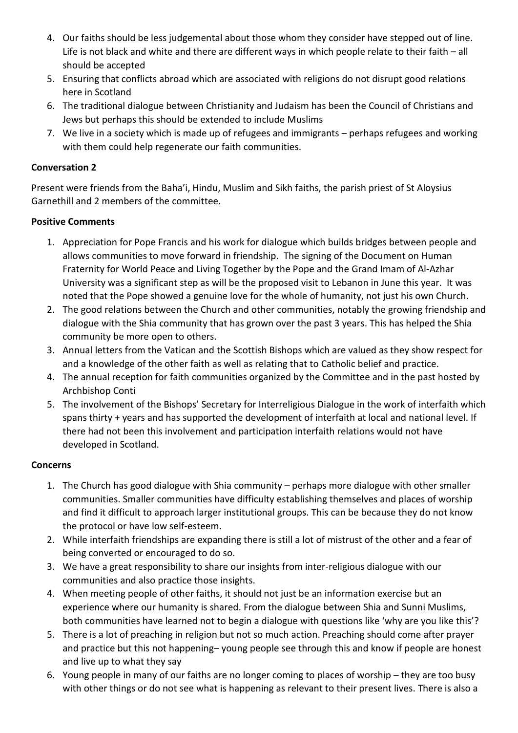- 4. Our faiths should be less judgemental about those whom they consider have stepped out of line. Life is not black and white and there are different ways in which people relate to their faith – all should be accepted
- 5. Ensuring that conflicts abroad which are associated with religions do not disrupt good relations here in Scotland
- 6. The traditional dialogue between Christianity and Judaism has been the Council of Christians and Jews but perhaps this should be extended to include Muslims
- 7. We live in a society which is made up of refugees and immigrants perhaps refugees and working with them could help regenerate our faith communities.

#### **Conversation 2**

Present were friends from the Baha'i, Hindu, Muslim and Sikh faiths, the parish priest of St Aloysius Garnethill and 2 members of the committee.

#### **Positive Comments**

- 1. Appreciation for Pope Francis and his work for dialogue which builds bridges between people and allows communities to move forward in friendship. The signing of the Document on Human Fraternity for World Peace and Living Together by the Pope and the Grand Imam of Al-Azhar University was a significant step as will be the proposed visit to Lebanon in June this year. It was noted that the Pope showed a genuine love for the whole of humanity, not just his own Church.
- 2. The good relations between the Church and other communities, notably the growing friendship and dialogue with the Shia community that has grown over the past 3 years. This has helped the Shia community be more open to others.
- 3. Annual letters from the Vatican and the Scottish Bishops which are valued as they show respect for and a knowledge of the other faith as well as relating that to Catholic belief and practice.
- 4. The annual reception for faith communities organized by the Committee and in the past hosted by Archbishop Conti
- 5. The involvement of the Bishops' Secretary for Interreligious Dialogue in the work of interfaith which spans thirty + years and has supported the development of interfaith at local and national level. If there had not been this involvement and participation interfaith relations would not have developed in Scotland.

## **Concerns**

- 1. The Church has good dialogue with Shia community perhaps more dialogue with other smaller communities. Smaller communities have difficulty establishing themselves and places of worship and find it difficult to approach larger institutional groups. This can be because they do not know the protocol or have low self-esteem.
- 2. While interfaith friendships are expanding there is still a lot of mistrust of the other and a fear of being converted or encouraged to do so.
- 3. We have a great responsibility to share our insights from inter-religious dialogue with our communities and also practice those insights.
- 4. When meeting people of other faiths, it should not just be an information exercise but an experience where our humanity is shared. From the dialogue between Shia and Sunni Muslims, both communities have learned not to begin a dialogue with questions like 'why are you like this'?
- 5. There is a lot of preaching in religion but not so much action. Preaching should come after prayer and practice but this not happening– young people see through this and know if people are honest and live up to what they say
- 6. Young people in many of our faiths are no longer coming to places of worship they are too busy with other things or do not see what is happening as relevant to their present lives. There is also a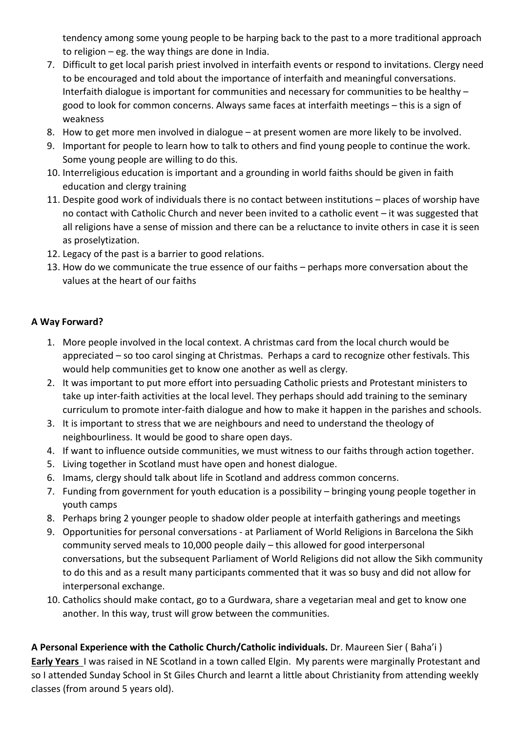tendency among some young people to be harping back to the past to a more traditional approach to religion – eg. the way things are done in India.

- 7. Difficult to get local parish priest involved in interfaith events or respond to invitations. Clergy need to be encouraged and told about the importance of interfaith and meaningful conversations. Interfaith dialogue is important for communities and necessary for communities to be healthy – good to look for common concerns. Always same faces at interfaith meetings – this is a sign of weakness
- 8. How to get more men involved in dialogue at present women are more likely to be involved.
- 9. Important for people to learn how to talk to others and find young people to continue the work. Some young people are willing to do this.
- 10. Interreligious education is important and a grounding in world faiths should be given in faith education and clergy training
- 11. Despite good work of individuals there is no contact between institutions places of worship have no contact with Catholic Church and never been invited to a catholic event – it was suggested that all religions have a sense of mission and there can be a reluctance to invite others in case it is seen as proselytization.
- 12. Legacy of the past is a barrier to good relations.
- 13. How do we communicate the true essence of our faiths perhaps more conversation about the values at the heart of our faiths

# **A Way Forward?**

- 1. More people involved in the local context. A christmas card from the local church would be appreciated – so too carol singing at Christmas. Perhaps a card to recognize other festivals. This would help communities get to know one another as well as clergy.
- 2. It was important to put more effort into persuading Catholic priests and Protestant ministers to take up inter-faith activities at the local level. They perhaps should add training to the seminary curriculum to promote inter-faith dialogue and how to make it happen in the parishes and schools.
- 3. It is important to stress that we are neighbours and need to understand the theology of neighbourliness. It would be good to share open days.
- 4. If want to influence outside communities, we must witness to our faiths through action together.
- 5. Living together in Scotland must have open and honest dialogue.
- 6. Imams, clergy should talk about life in Scotland and address common concerns.
- 7. Funding from government for youth education is a possibility bringing young people together in youth camps
- 8. Perhaps bring 2 younger people to shadow older people at interfaith gatherings and meetings
- 9. Opportunities for personal conversations at Parliament of World Religions in Barcelona the Sikh community served meals to 10,000 people daily – this allowed for good interpersonal conversations, but the subsequent Parliament of World Religions did not allow the Sikh community to do this and as a result many participants commented that it was so busy and did not allow for interpersonal exchange.
- 10. Catholics should make contact, go to a Gurdwara, share a vegetarian meal and get to know one another. In this way, trust will grow between the communities.

**A Personal Experience with the Catholic Church/Catholic individuals.** Dr. Maureen Sier ( Baha'i ) **Early Years** I was raised in NE Scotland in a town called Elgin. My parents were marginally Protestant and so I attended Sunday School in St Giles Church and learnt a little about Christianity from attending weekly classes (from around 5 years old).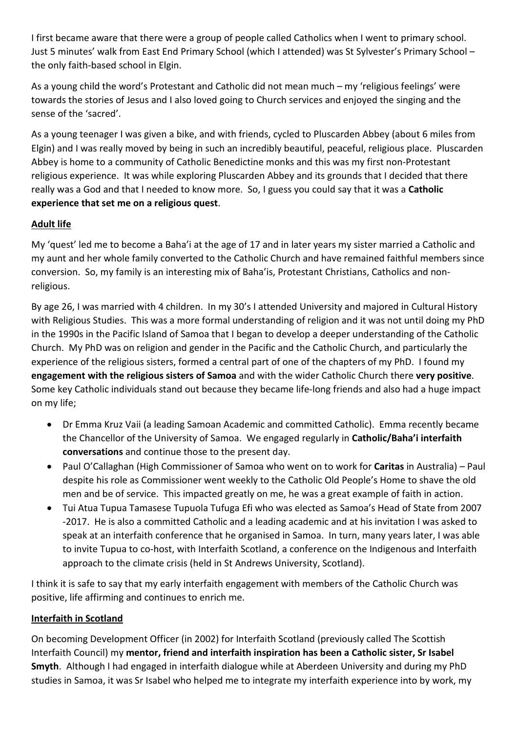I first became aware that there were a group of people called Catholics when I went to primary school. Just 5 minutes' walk from East End Primary School (which I attended) was St Sylvester's Primary School – the only faith-based school in Elgin.

As a young child the word's Protestant and Catholic did not mean much – my 'religious feelings' were towards the stories of Jesus and I also loved going to Church services and enjoyed the singing and the sense of the 'sacred'.

As a young teenager I was given a bike, and with friends, cycled to Pluscarden Abbey (about 6 miles from Elgin) and I was really moved by being in such an incredibly beautiful, peaceful, religious place. Pluscarden Abbey is home to a community of Catholic Benedictine monks and this was my first non-Protestant religious experience. It was while exploring Pluscarden Abbey and its grounds that I decided that there really was a God and that I needed to know more. So, I guess you could say that it was a **Catholic experience that set me on a religious quest**.

# **Adult life**

My 'quest' led me to become a Baha'i at the age of 17 and in later years my sister married a Catholic and my aunt and her whole family converted to the Catholic Church and have remained faithful members since conversion. So, my family is an interesting mix of Baha'is, Protestant Christians, Catholics and nonreligious.

By age 26, I was married with 4 children. In my 30's I attended University and majored in Cultural History with Religious Studies. This was a more formal understanding of religion and it was not until doing my PhD in the 1990s in the Pacific Island of Samoa that I began to develop a deeper understanding of the Catholic Church. My PhD was on religion and gender in the Pacific and the Catholic Church, and particularly the experience of the religious sisters, formed a central part of one of the chapters of my PhD. I found my **engagement with the religious sisters of Samoa** and with the wider Catholic Church there **very positive**. Some key Catholic individuals stand out because they became life-long friends and also had a huge impact on my life;

- Dr Emma Kruz Vaii (a leading Samoan Academic and committed Catholic). Emma recently became the Chancellor of the University of Samoa. We engaged regularly in **Catholic/Baha'i interfaith conversations** and continue those to the present day.
- Paul O'Callaghan (High Commissioner of Samoa who went on to work for **Caritas** in Australia) Paul despite his role as Commissioner went weekly to the Catholic Old People's Home to shave the old men and be of service. This impacted greatly on me, he was a great example of faith in action.
- Tui Atua Tupua Tamasese Tupuola Tufuga Efi who was elected as Samoa's Head of State from 2007 -2017. He is also a committed Catholic and a leading academic and at his invitation I was asked to speak at an interfaith conference that he organised in Samoa. In turn, many years later, I was able to invite Tupua to co-host, with Interfaith Scotland, a conference on the Indigenous and Interfaith approach to the climate crisis (held in St Andrews University, Scotland).

I think it is safe to say that my early interfaith engagement with members of the Catholic Church was positive, life affirming and continues to enrich me.

## **Interfaith in Scotland**

On becoming Development Officer (in 2002) for Interfaith Scotland (previously called The Scottish Interfaith Council) my **mentor, friend and interfaith inspiration has been a Catholic sister, Sr Isabel Smyth**. Although I had engaged in interfaith dialogue while at Aberdeen University and during my PhD studies in Samoa, it was Sr Isabel who helped me to integrate my interfaith experience into by work, my